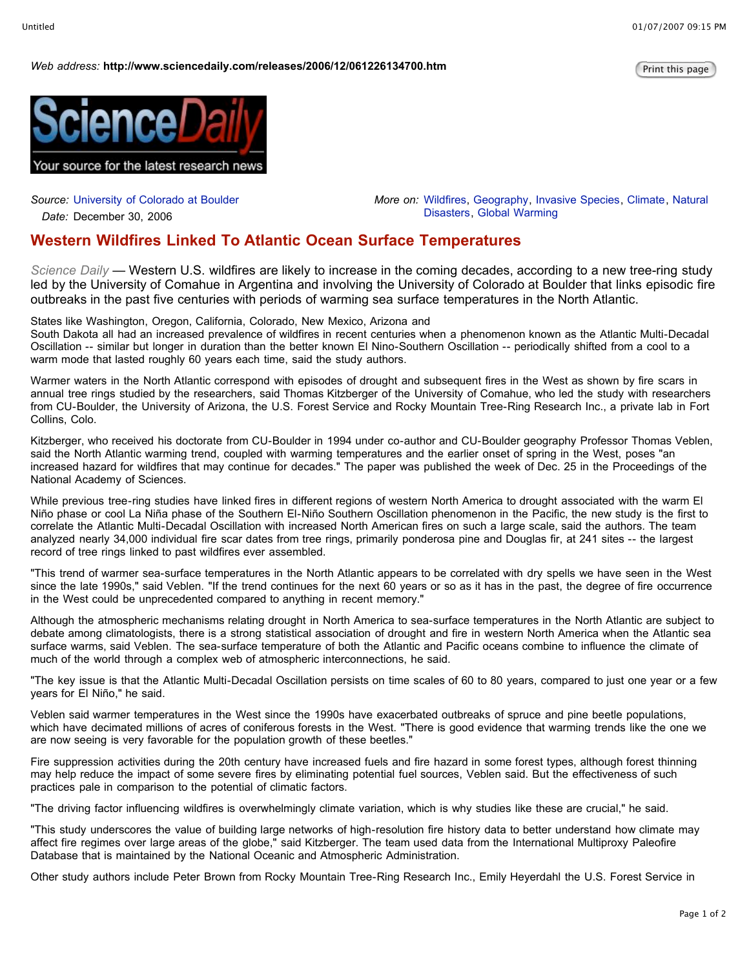## *Web* address: http://www.sciencedaily.com/releases/2006/12/061226134700.htm



*Source:* University of Colorado at Boulder

*Date:* December 30, 2006

*More on:* Wildfires, Geography, Invasive Species, Climate, Natural Disasters, Global Warming

## **Western Wildfires Linked To Atlantic Ocean Surface Temperatures**

*Science Daily —* Western U.S. wildfires are likely to increase in the coming decades, according to a new tree-ring study led by the University of Comahue in Argentina and involving the University of Colorado at Boulder that links episodic fire outbreaks in the past five centuries with periods of warming sea surface temperatures in the North Atlantic.

States like Washington, Oregon, California, Colorado, New Mexico, Arizona and

South Dakota all had an increased prevalence of wildfires in recent centuries when a phenomenon known as the Atlantic Multi-Decadal Oscillation -- similar but longer in duration than the better known El Nino-Southern Oscillation -- periodically shifted from a cool to a warm mode that lasted roughly 60 years each time, said the study authors.

Warmer waters in the North Atlantic correspond with episodes of drought and subsequent fires in the West as shown by fire scars in annual tree rings studied by the researchers, said Thomas Kitzberger of the University of Comahue, who led the study with researchers from CU-Boulder, the University of Arizona, the U.S. Forest Service and Rocky Mountain Tree-Ring Research Inc., a private lab in Fort Collins, Colo.

Kitzberger, who received his doctorate from CU-Boulder in 1994 under co-author and CU-Boulder geography Professor Thomas Veblen, said the North Atlantic warming trend, coupled with warming temperatures and the earlier onset of spring in the West, poses "an increased hazard for wildfires that may continue for decades." The paper was published the week of Dec. 25 in the Proceedings of the National Academy of Sciences.

While previous tree-ring studies have linked fires in different regions of western North America to drought associated with the warm El Niño phase or cool La Niña phase of the Southern El-Niño Southern Oscillation phenomenon in the Pacific, the new study is the first to correlate the Atlantic Multi-Decadal Oscillation with increased North American fires on such a large scale, said the authors. The team analyzed nearly 34,000 individual fire scar dates from tree rings, primarily ponderosa pine and Douglas fir, at 241 sites -- the largest record of tree rings linked to past wildfires ever assembled.

"This trend of warmer sea-surface temperatures in the North Atlantic appears to be correlated with dry spells we have seen in the West since the late 1990s," said Veblen. "If the trend continues for the next 60 years or so as it has in the past, the degree of fire occurrence in the West could be unprecedented compared to anything in recent memory."

Although the atmospheric mechanisms relating drought in North America to sea-surface temperatures in the North Atlantic are subject to debate among climatologists, there is a strong statistical association of drought and fire in western North America when the Atlantic sea surface warms, said Veblen. The sea-surface temperature of both the Atlantic and Pacific oceans combine to influence the climate of much of the world through a complex web of atmospheric interconnections, he said.

"The key issue is that the Atlantic Multi-Decadal Oscillation persists on time scales of 60 to 80 years, compared to just one year or a few years for El Niño," he said.

Veblen said warmer temperatures in the West since the 1990s have exacerbated outbreaks of spruce and pine beetle populations, which have decimated millions of acres of coniferous forests in the West. "There is good evidence that warming trends like the one we are now seeing is very favorable for the population growth of these beetles."

Fire suppression activities during the 20th century have increased fuels and fire hazard in some forest types, although forest thinning may help reduce the impact of some severe fires by eliminating potential fuel sources, Veblen said. But the effectiveness of such practices pale in comparison to the potential of climatic factors.

"The driving factor influencing wildfires is overwhelmingly climate variation, which is why studies like these are crucial," he said.

"This study underscores the value of building large networks of high-resolution fire history data to better understand how climate may affect fire regimes over large areas of the globe," said Kitzberger. The team used data from the International Multiproxy Paleofire Database that is maintained by the National Oceanic and Atmospheric Administration.

Other study authors include Peter Brown from Rocky Mountain Tree-Ring Research Inc., Emily Heyerdahl the U.S. Forest Service in